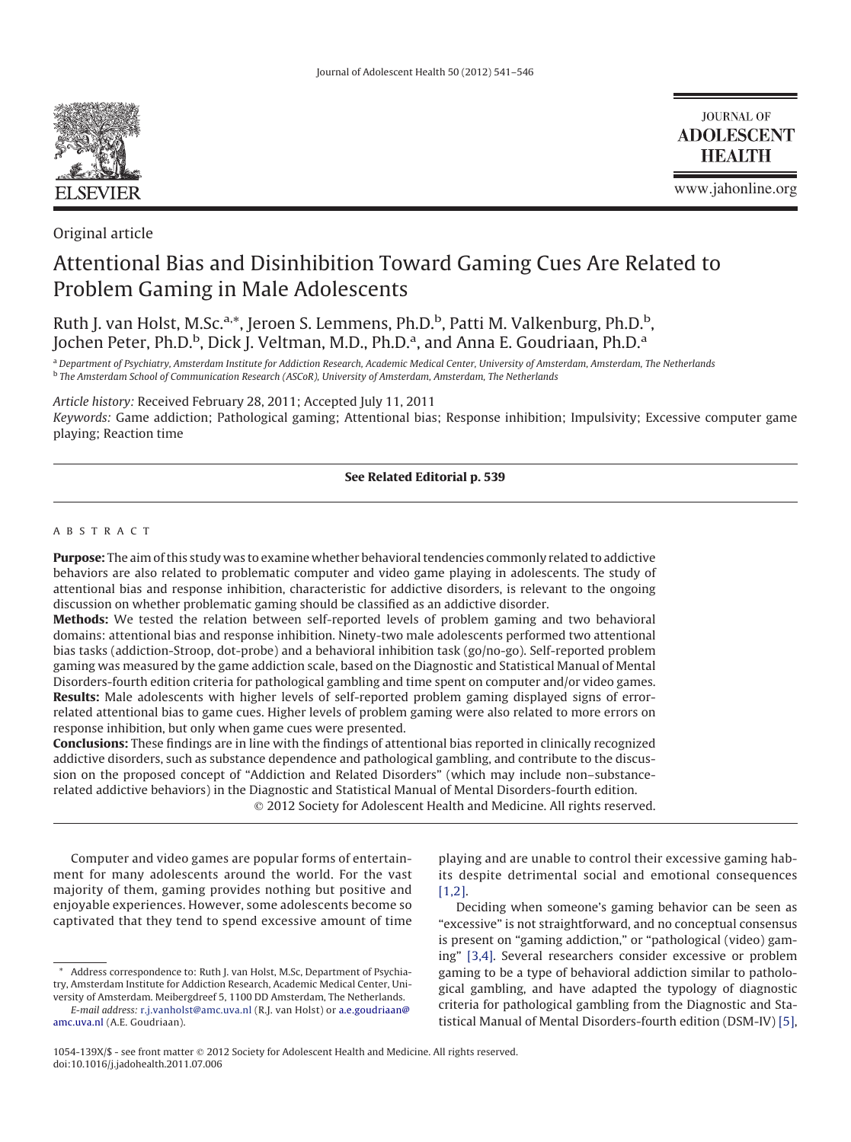

Original article

**JOURNAL OF ADOLESCENT HEALTH** 

www.jahonline.org

# Attentional Bias and Disinhibition Toward Gaming Cues Are Related to Problem Gaming in Male Adolescents

Ruth J. van Holst, M.Sc.<sup>a,\*</sup>, Jeroen S. Lemmens, Ph.D.<sup>b</sup>, Patti M. Valkenburg, Ph.D.<sup>b</sup>, Jochen Peter, Ph.D.<sup>b</sup>, Dick J. Veltman, M.D., Ph.D.ª, and Anna E. Goudriaan, Ph.D.ª

<sup>a</sup> *Department of Psychiatry, Amsterdam Institute for Addiction Research, Academic Medical Center, University of Amsterdam, Amsterdam, The Netherlands* <sup>b</sup> *The Amsterdam School of Communication Research (ASCoR), University of Amsterdam, Amsterdam, The Netherlands*

*Article history:* Received February 28, 2011; Accepted July 11, 2011

*Keywords:* Game addiction; Pathological gaming; Attentional bias; Response inhibition; Impulsivity; Excessive computer game playing; Reaction time

# **See Related Editorial p. 539**

# ABSTRACT

**Purpose:** The aim of this study was to examine whether behavioral tendencies commonly related to addictive behaviors are also related to problematic computer and video game playing in adolescents. The study of attentional bias and response inhibition, characteristic for addictive disorders, is relevant to the ongoing discussion on whether problematic gaming should be classified as an addictive disorder.

**Methods:** We tested the relation between self-reported levels of problem gaming and two behavioral domains: attentional bias and response inhibition. Ninety-two male adolescents performed two attentional bias tasks (addiction-Stroop, dot-probe) and a behavioral inhibition task (go/no-go). Self-reported problem gaming was measured by the game addiction scale, based on the Diagnostic and Statistical Manual of Mental Disorders-fourth edition criteria for pathological gambling and time spent on computer and/or video games. **Results:** Male adolescents with higher levels of self-reported problem gaming displayed signs of errorrelated attentional bias to game cues. Higher levels of problem gaming were also related to more errors on response inhibition, but only when game cues were presented.

**Conclusions:** These findings are in line with the findings of attentional bias reported in clinically recognized addictive disorders, such as substance dependence and pathological gambling, and contribute to the discussion on the proposed concept of "Addiction and Related Disorders" (which may include non–substancerelated addictive behaviors) in the Diagnostic and Statistical Manual of Mental Disorders-fourth edition. 2012 Society for Adolescent Health and Medicine. All rights reserved.

Computer and video games are popular forms of entertainment for many adolescents around the world. For the vast majority of them, gaming provides nothing but positive and enjoyable experiences. However, some adolescents become so captivated that they tend to spend excessive amount of time

playing and are unable to control their excessive gaming habits despite detrimental social and emotional consequences [\[1,2\].](#page-4-0)

Deciding when someone's gaming behavior can be seen as "excessive" is not straightforward, and no conceptual consensus is present on "gaming addiction," or "pathological (video) gaming" [\[3,4\].](#page-4-1) Several researchers consider excessive or problem gaming to be a type of behavioral addiction similar to pathological gambling, and have adapted the typology of diagnostic criteria for pathological gambling from the Diagnostic and Statistical Manual of Mental Disorders-fourth edition (DSM-IV) [\[5\],](#page-4-2)

<sup>\*</sup> Address correspondence to: Ruth J. van Holst, M.Sc, Department of Psychiatry, Amsterdam Institute for Addiction Research, Academic Medical Center, University of Amsterdam. Meibergdreef 5, 1100 DD Amsterdam, The Netherlands.

*E-mail address:* [r.j.vanholst@amc.uva.nl](mailto:r.j.vanholst@amc.uva.nl) (R.J. van Holst) or [a.e.goudriaan@](mailto:a.e.goudriaan@amc.uva.nl) [amc.uva.nl](mailto:a.e.goudriaan@amc.uva.nl) (A.E. Goudriaan).

<sup>1054-139</sup>X/\$ - see front matter 2012 Society for Adolescent Health and Medicine. All rights reserved. doi:10.1016/j.jadohealth.2011.07.006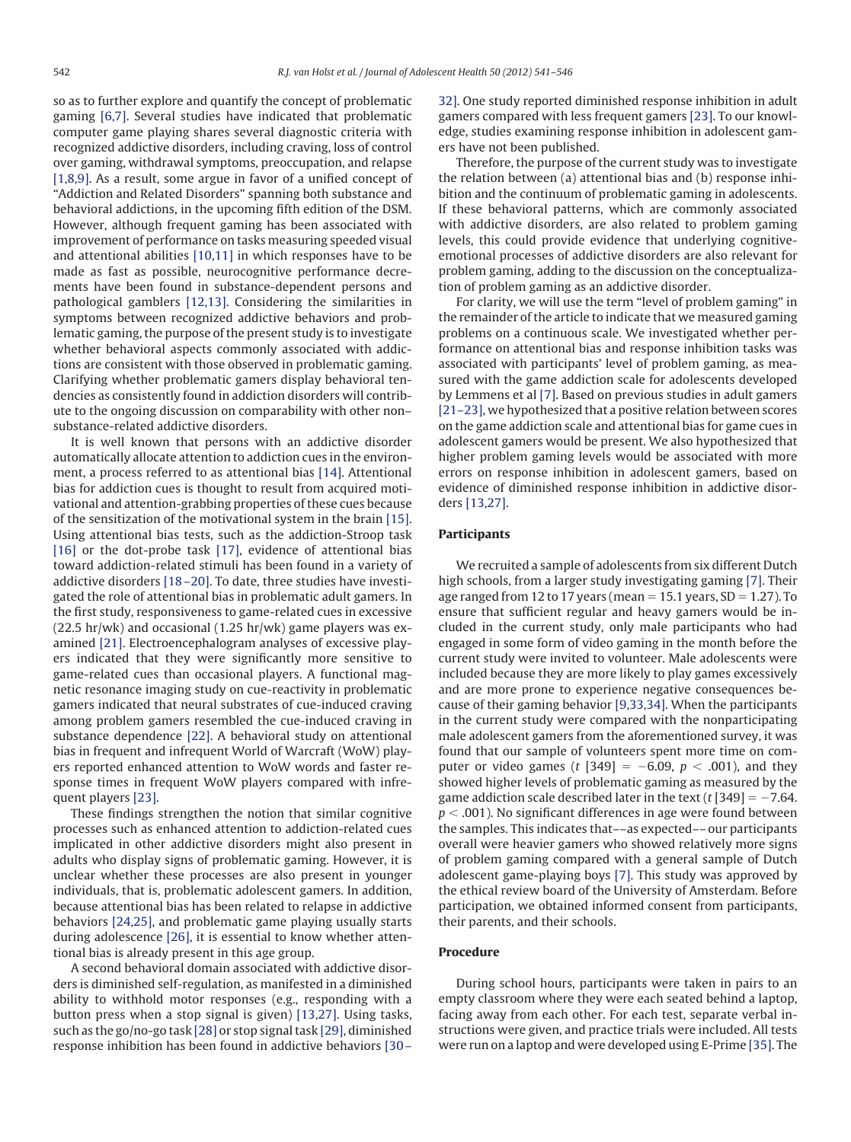so as to further explore and quantify the concept of problematic gaming [\[6,7\].](#page-4-3) Several studies have indicated that problematic computer game playing shares several diagnostic criteria with recognized addictive disorders, including craving, loss of control over gaming, withdrawal symptoms, preoccupation, and relapse [\[1,8,9\].](#page-4-0) As a result, some argue in favor of a unified concept of "Addiction and Related Disorders" spanning both substance and behavioral addictions, in the upcoming fifth edition of the DSM. However, although frequent gaming has been associated with improvement of performance on tasks measuring speeded visual and attentional abilities [\[10,11\]](#page-4-4) in which responses have to be made as fast as possible, neurocognitive performance decrements have been found in substance-dependent persons and pathological gamblers [\[12,13\].](#page-4-5) Considering the similarities in symptoms between recognized addictive behaviors and problematic gaming, the purpose of the present study is to investigate whether behavioral aspects commonly associated with addictions are consistent with those observed in problematic gaming. Clarifying whether problematic gamers display behavioral tendencies as consistently found in addiction disorders will contribute to the ongoing discussion on comparability with other non– substance-related addictive disorders.

It is well known that persons with an addictive disorder automatically allocate attention to addiction cues in the environment, a process referred to as attentional bias [\[14\].](#page-5-0) Attentional bias for addiction cues is thought to result from acquired motivational and attention-grabbing properties of these cues because of the sensitization of the motivational system in the brain [\[15\].](#page-5-1) Using attentional bias tests, such as the addiction-Stroop task [\[16\]](#page-5-2) or the dot-probe task [\[17\],](#page-5-3) evidence of attentional bias toward addiction-related stimuli has been found in a variety of addictive disorders [\[18 –20\].](#page-5-4) To date, three studies have investigated the role of attentional bias in problematic adult gamers. In the first study, responsiveness to game-related cues in excessive (22.5 hr/wk) and occasional (1.25 hr/wk) game players was examined [\[21\].](#page-5-5) Electroencephalogram analyses of excessive players indicated that they were significantly more sensitive to game-related cues than occasional players. A functional magnetic resonance imaging study on cue-reactivity in problematic gamers indicated that neural substrates of cue-induced craving among problem gamers resembled the cue-induced craving in substance dependence [\[22\].](#page-5-6) A behavioral study on attentional bias in frequent and infrequent World of Warcraft (WoW) players reported enhanced attention to WoW words and faster response times in frequent WoW players compared with infrequent players [\[23\].](#page-5-7)

These findings strengthen the notion that similar cognitive processes such as enhanced attention to addiction-related cues implicated in other addictive disorders might also present in adults who display signs of problematic gaming. However, it is unclear whether these processes are also present in younger individuals, that is, problematic adolescent gamers. In addition, because attentional bias has been related to relapse in addictive behaviors [\[24,25\],](#page-5-8) and problematic game playing usually starts during adolescence [\[26\],](#page-5-9) it is essential to know whether attentional bias is already present in this age group.

A second behavioral domain associated with addictive disorders is diminished self-regulation, as manifested in a diminished ability to withhold motor responses (e.g., responding with a button press when a stop signal is given) [\[13,27\].](#page-5-10) Using tasks, such as the go/no-go task [\[28\]](#page-5-11) or stop signal task [\[29\],](#page-5-12) diminished response inhibition has been found in addictive behaviors [\[30 –](#page-5-13)

[32\].](#page-5-13) One study reported diminished response inhibition in adult gamers compared with less frequent gamers [\[23\].](#page-5-7) To our knowledge, studies examining response inhibition in adolescent gamers have not been published.

Therefore, the purpose of the current study was to investigate the relation between (a) attentional bias and (b) response inhibition and the continuum of problematic gaming in adolescents. If these behavioral patterns, which are commonly associated with addictive disorders, are also related to problem gaming levels, this could provide evidence that underlying cognitiveemotional processes of addictive disorders are also relevant for problem gaming, adding to the discussion on the conceptualization of problem gaming as an addictive disorder.

For clarity, we will use the term "level of problem gaming" in the remainder of the article to indicate that we measured gaming problems on a continuous scale. We investigated whether performance on attentional bias and response inhibition tasks was associated with participants' level of problem gaming, as measured with the game addiction scale for adolescents developed by Lemmens et al [\[7\].](#page-4-6) Based on previous studies in adult gamers [\[21–23\],](#page-5-5) we hypothesized that a positive relation between scores on the game addiction scale and attentional bias for game cues in adolescent gamers would be present. We also hypothesized that higher problem gaming levels would be associated with more errors on response inhibition in adolescent gamers, based on evidence of diminished response inhibition in addictive disorders [\[13,27\].](#page-5-10)

### **Participants**

We recruited a sample of adolescents from six different Dutch high schools, from a larger study investigating gaming [\[7\].](#page-4-6) Their age ranged from 12 to 17 years (mean  $= 15.1$  years, SD  $= 1.27$ ). To ensure that sufficient regular and heavy gamers would be included in the current study, only male participants who had engaged in some form of video gaming in the month before the current study were invited to volunteer. Male adolescents were included because they are more likely to play games excessively and are more prone to experience negative consequences because of their gaming behavior [\[9,33,34\].](#page-4-7) When the participants in the current study were compared with the nonparticipating male adolescent gamers from the aforementioned survey, it was found that our sample of volunteers spent more time on computer or video games (*t* [349] =  $-6.09, p < .001$ ), and they showed higher levels of problematic gaming as measured by the game addiction scale described later in the text  $(t[349] = -7.64$ .  $p < .001$ ). No significant differences in age were found between the samples. This indicates that––as expected–– our participants overall were heavier gamers who showed relatively more signs of problem gaming compared with a general sample of Dutch adolescent game-playing boys [\[7\].](#page-4-6) This study was approved by the ethical review board of the University of Amsterdam. Before participation, we obtained informed consent from participants, their parents, and their schools.

# **Procedure**

During school hours, participants were taken in pairs to an empty classroom where they were each seated behind a laptop, facing away from each other. For each test, separate verbal instructions were given, and practice trials were included. All tests were run on a laptop and were developed using E-Prime [\[35\].](#page-5-14) The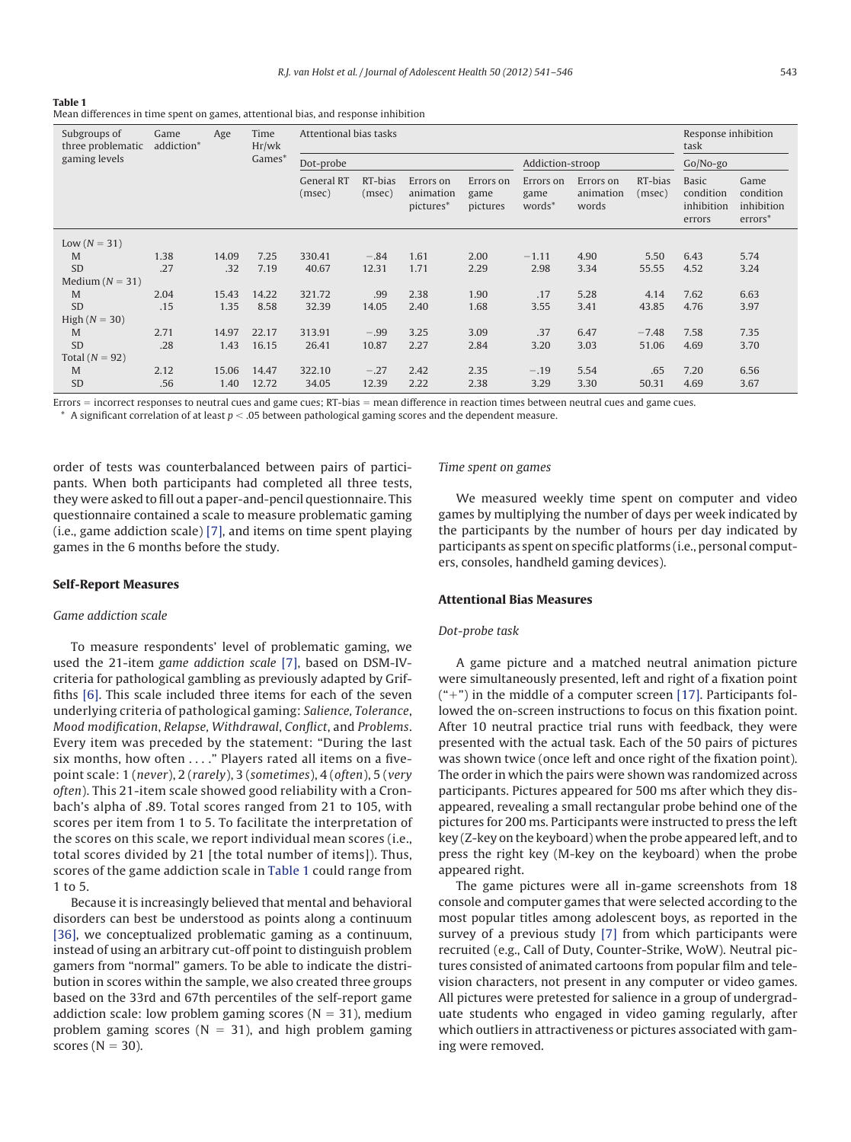<span id="page-2-0"></span>

| Table 1                                                                            |
|------------------------------------------------------------------------------------|
| Mean differences in time spent on games, attentional bias, and response inhibition |

| Subgroups of<br>three problematic | Game<br>addiction* | Age   | Time<br>$Hr$ /wk | Attentional bias tasks        |                   |                                     |                               |                             |                                 |                   | Response inhibition<br>task                       |                                            |
|-----------------------------------|--------------------|-------|------------------|-------------------------------|-------------------|-------------------------------------|-------------------------------|-----------------------------|---------------------------------|-------------------|---------------------------------------------------|--------------------------------------------|
| gaming levels                     |                    |       | Games*           | Dot-probe<br>Addiction-stroop |                   |                                     |                               |                             |                                 |                   | Go/No-go                                          |                                            |
|                                   |                    |       |                  | <b>General RT</b><br>(msec)   | RT-bias<br>(msec) | Errors on<br>animation<br>pictures* | Errors on<br>game<br>pictures | Errors on<br>game<br>words* | Errors on<br>animation<br>words | RT-bias<br>(msec) | <b>Basic</b><br>condition<br>inhibition<br>errors | Game<br>condition<br>inhibition<br>errors* |
| Low $(N = 31)$                    |                    |       |                  |                               |                   |                                     |                               |                             |                                 |                   |                                                   |                                            |
| M                                 | 1.38               | 14.09 | 7.25             | 330.41                        | $-.84$            | 1.61                                | 2.00                          | $-1.11$                     | 4.90                            | 5.50              | 6.43                                              | 5.74                                       |
| <b>SD</b>                         | .27                | .32   | 7.19             | 40.67                         | 12.31             | 1.71                                | 2.29                          | 2.98                        | 3.34                            | 55.55             | 4.52                                              | 3.24                                       |
| Medium $(N = 31)$                 |                    |       |                  |                               |                   |                                     |                               |                             |                                 |                   |                                                   |                                            |
| M                                 | 2.04               | 15.43 | 14.22            | 321.72                        | .99               | 2.38                                | 1.90                          | .17                         | 5.28                            | 4.14              | 7.62                                              | 6.63                                       |
| <b>SD</b>                         | .15                | 1.35  | 8.58             | 32.39                         | 14.05             | 2.40                                | 1.68                          | 3.55                        | 3.41                            | 43.85             | 4.76                                              | 3.97                                       |
| High $(N = 30)$                   |                    |       |                  |                               |                   |                                     |                               |                             |                                 |                   |                                                   |                                            |
| M                                 | 2.71               | 14.97 | 22.17            | 313.91                        | $-.99$            | 3.25                                | 3.09                          | .37                         | 6.47                            | $-7.48$           | 7.58                                              | 7.35                                       |
| <b>SD</b>                         | .28                | 1.43  | 16.15            | 26.41                         | 10.87             | 2.27                                | 2.84                          | 3.20                        | 3.03                            | 51.06             | 4.69                                              | 3.70                                       |
| Total $(N = 92)$                  |                    |       |                  |                               |                   |                                     |                               |                             |                                 |                   |                                                   |                                            |
| M                                 | 2.12               | 15.06 | 14.47            | 322.10                        | $-.27$            | 2.42                                | 2.35                          | $-.19$                      | 5.54                            | .65               | 7.20                                              | 6.56                                       |
| <b>SD</b>                         | .56                | 1.40  | 12.72            | 34.05                         | 12.39             | 2.22                                | 2.38                          | 3.29                        | 3.30                            | 50.31             | 4.69                                              | 3.67                                       |

 $Errors = incorrect responses$  to neutral cues and game cues;  $RT-bias = mean$  difference in reaction times between neutral cues and game cues.

 $*$  A significant correlation of at least  $p < .05$  between pathological gaming scores and the dependent measure.

order of tests was counterbalanced between pairs of participants. When both participants had completed all three tests, they were asked to fill out a paper-and-pencil questionnaire. This questionnaire contained a scale to measure problematic gaming (i.e., game addiction scale) [\[7\],](#page-4-6) and items on time spent playing games in the 6 months before the study.

# **Self-Report Measures**

# *Game addiction scale*

To measure respondents' level of problematic gaming, we used the 21-item *game addiction scale* [\[7\],](#page-4-6) based on DSM-IVcriteria for pathological gambling as previously adapted by Griffiths [\[6\].](#page-4-3) This scale included three items for each of the seven underlying criteria of pathological gaming: *Salience, Tolerance*, *Mood modification*, *Relapse, Withdrawal*, *Conflict*, and *Problems*. Every item was preceded by the statement: "During the last six months, how often . . . ." Players rated all items on a fivepoint scale: 1 (*never*), 2 (*rarely*), 3 (*sometimes*), 4 (*often*), 5 (*very often*). This 21-item scale showed good reliability with a Cronbach's alpha of .89. Total scores ranged from 21 to 105, with scores per item from 1 to 5. To facilitate the interpretation of the scores on this scale, we report individual mean scores (i.e., total scores divided by 21 [the total number of items]). Thus, scores of the game addiction scale in [Table 1](#page-2-0) could range from 1 to 5.

Because it is increasingly believed that mental and behavioral disorders can best be understood as points along a continuum [\[36\],](#page-5-15) we conceptualized problematic gaming as a continuum, instead of using an arbitrary cut-off point to distinguish problem gamers from "normal" gamers. To be able to indicate the distribution in scores within the sample, we also created three groups based on the 33rd and 67th percentiles of the self-report game addiction scale: low problem gaming scores ( $N = 31$ ), medium problem gaming scores ( $N = 31$ ), and high problem gaming scores ( $N = 30$ ).

# *Time spent on games*

We measured weekly time spent on computer and video games by multiplying the number of days per week indicated by the participants by the number of hours per day indicated by participants as spent on specific platforms (i.e., personal computers, consoles, handheld gaming devices).

# **Attentional Bias Measures**

# *Dot-probe task*

A game picture and a matched neutral animation picture were simultaneously presented, left and right of a fixation point  $("+")$  in the middle of a computer screen [\[17\].](#page-5-3) Participants followed the on-screen instructions to focus on this fixation point. After 10 neutral practice trial runs with feedback, they were presented with the actual task. Each of the 50 pairs of pictures was shown twice (once left and once right of the fixation point). The order in which the pairs were shown was randomized across participants. Pictures appeared for 500 ms after which they disappeared, revealing a small rectangular probe behind one of the pictures for 200 ms. Participants were instructed to press the left key (Z-key on the keyboard) when the probe appeared left, and to press the right key (M-key on the keyboard) when the probe appeared right.

The game pictures were all in-game screenshots from 18 console and computer games that were selected according to the most popular titles among adolescent boys, as reported in the survey of a previous study [\[7\]](#page-4-6) from which participants were recruited (e.g., Call of Duty, Counter-Strike, WoW). Neutral pictures consisted of animated cartoons from popular film and television characters, not present in any computer or video games. All pictures were pretested for salience in a group of undergraduate students who engaged in video gaming regularly, after which outliers in attractiveness or pictures associated with gaming were removed.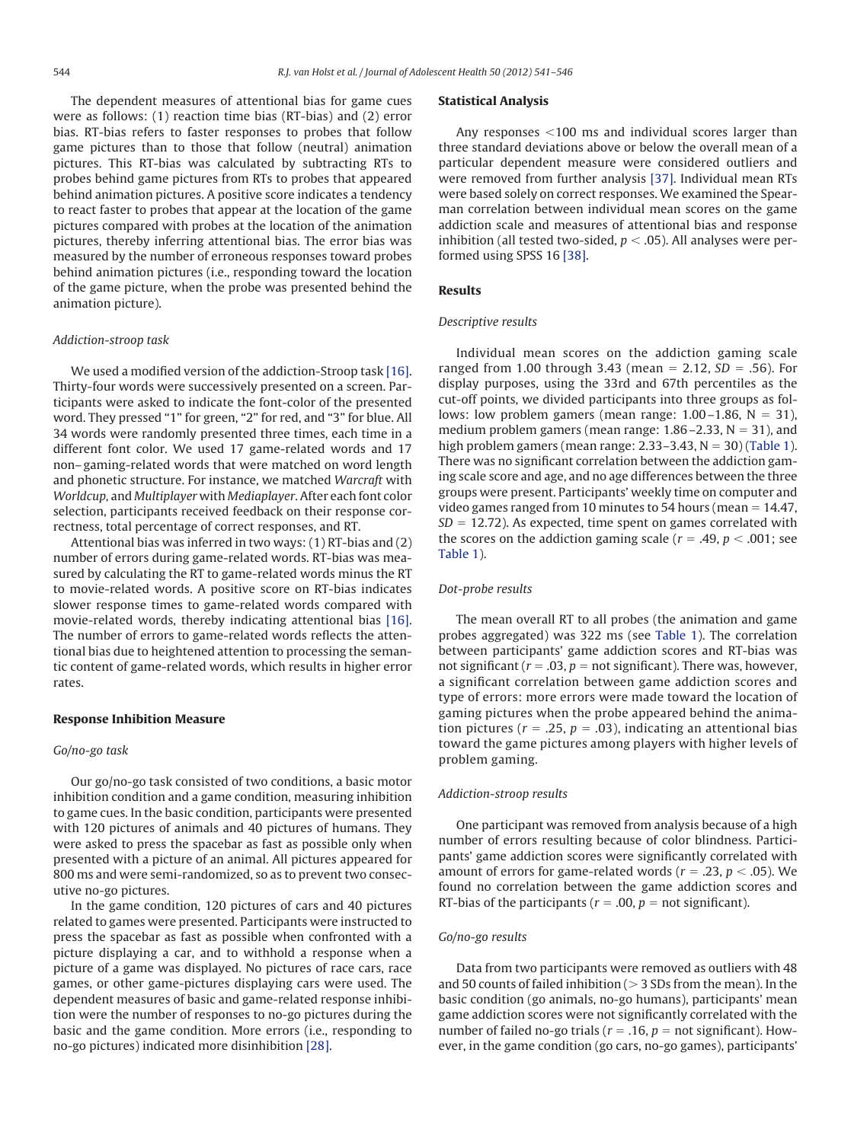The dependent measures of attentional bias for game cues were as follows: (1) reaction time bias (RT-bias) and (2) error bias. RT-bias refers to faster responses to probes that follow game pictures than to those that follow (neutral) animation pictures. This RT-bias was calculated by subtracting RTs to probes behind game pictures from RTs to probes that appeared behind animation pictures. A positive score indicates a tendency to react faster to probes that appear at the location of the game pictures compared with probes at the location of the animation pictures, thereby inferring attentional bias. The error bias was measured by the number of erroneous responses toward probes behind animation pictures (i.e., responding toward the location of the game picture, when the probe was presented behind the animation picture).

# *Addiction-stroop task*

We used a modified version of the addiction-Stroop task [\[16\].](#page-5-2) Thirty-four words were successively presented on a screen. Participants were asked to indicate the font-color of the presented word. They pressed "1" for green, "2" for red, and "3" for blue. All 34 words were randomly presented three times, each time in a different font color. We used 17 game-related words and 17 non– gaming-related words that were matched on word length and phonetic structure. For instance, we matched *Warcraft* with *Worldcup,* and *Multiplayer* with *Mediaplayer*. After each font color selection, participants received feedback on their response correctness, total percentage of correct responses, and RT.

Attentional bias was inferred in two ways: (1) RT-bias and (2) number of errors during game-related words. RT-bias was measured by calculating the RT to game-related words minus the RT to movie-related words. A positive score on RT-bias indicates slower response times to game-related words compared with movie-related words, thereby indicating attentional bias [\[16\].](#page-5-2) The number of errors to game-related words reflects the attentional bias due to heightened attention to processing the semantic content of game-related words, which results in higher error rates.

#### **Response Inhibition Measure**

# *Go/no-go task*

Our go/no-go task consisted of two conditions, a basic motor inhibition condition and a game condition, measuring inhibition to game cues. In the basic condition, participants were presented with 120 pictures of animals and 40 pictures of humans. They were asked to press the spacebar as fast as possible only when presented with a picture of an animal. All pictures appeared for 800 ms and were semi-randomized, so as to prevent two consecutive no-go pictures.

In the game condition, 120 pictures of cars and 40 pictures related to games were presented. Participants were instructed to press the spacebar as fast as possible when confronted with a picture displaying a car, and to withhold a response when a picture of a game was displayed. No pictures of race cars, race games, or other game-pictures displaying cars were used. The dependent measures of basic and game-related response inhibition were the number of responses to no-go pictures during the basic and the game condition. More errors (i.e., responding to no-go pictures) indicated more disinhibition [\[28\].](#page-5-11)

# **Statistical Analysis**

Any responses  $<$ 100 ms and individual scores larger than three standard deviations above or below the overall mean of a particular dependent measure were considered outliers and were removed from further analysis [\[37\].](#page-5-16) Individual mean RTs were based solely on correct responses. We examined the Spearman correlation between individual mean scores on the game addiction scale and measures of attentional bias and response inhibition (all tested two-sided,  $p < .05$ ). All analyses were performed using SPSS 16 [\[38\].](#page-5-17)

# **Results**

#### *Descriptive results*

Individual mean scores on the addiction gaming scale ranged from 1.00 through 3.43 (mean  $= 2.12$ , *SD*  $= .56$ ). For display purposes, using the 33rd and 67th percentiles as the cut-off points, we divided participants into three groups as follows: low problem gamers (mean range:  $1.00-1.86$ ,  $N = 31$ ), medium problem gamers (mean range:  $1.86 - 2.33$ ,  $N = 31$ ), and high problem gamers (mean range: 2.33–3.43,  $N = 30$ ) [\(Table 1\)](#page-2-0). There was no significant correlation between the addiction gaming scale score and age, and no age differences between the three groups were present. Participants' weekly time on computer and video games ranged from 10 minutes to 54 hours (mean  $= 14.47$ ,  $SD = 12.72$ ). As expected, time spent on games correlated with the scores on the addiction gaming scale ( $r = .49$ ,  $p < .001$ ; see [Table 1\)](#page-2-0).

#### *Dot-probe results*

The mean overall RT to all probes (the animation and game probes aggregated) was 322 ms (see [Table 1\)](#page-2-0). The correlation between participants' game addiction scores and RT-bias was not significant ( $r = .03$ ,  $p =$  not significant). There was, however, a significant correlation between game addiction scores and type of errors: more errors were made toward the location of gaming pictures when the probe appeared behind the animation pictures ( $r = .25$ ,  $p = .03$ ), indicating an attentional bias toward the game pictures among players with higher levels of problem gaming.

# *Addiction-stroop results*

One participant was removed from analysis because of a high number of errors resulting because of color blindness. Participants' game addiction scores were significantly correlated with amount of errors for game-related words ( $r = .23$ ,  $p < .05$ ). We found no correlation between the game addiction scores and RT-bias of the participants ( $r = .00$ ,  $p =$  not significant).

# *Go/no-go results*

Data from two participants were removed as outliers with 48 and 50 counts of failed inhibition ( $>$  3 SDs from the mean). In the basic condition (go animals, no-go humans), participants' mean game addiction scores were not significantly correlated with the number of failed no-go trials ( $r = .16$ ,  $p =$  not significant). However, in the game condition (go cars, no-go games), participants'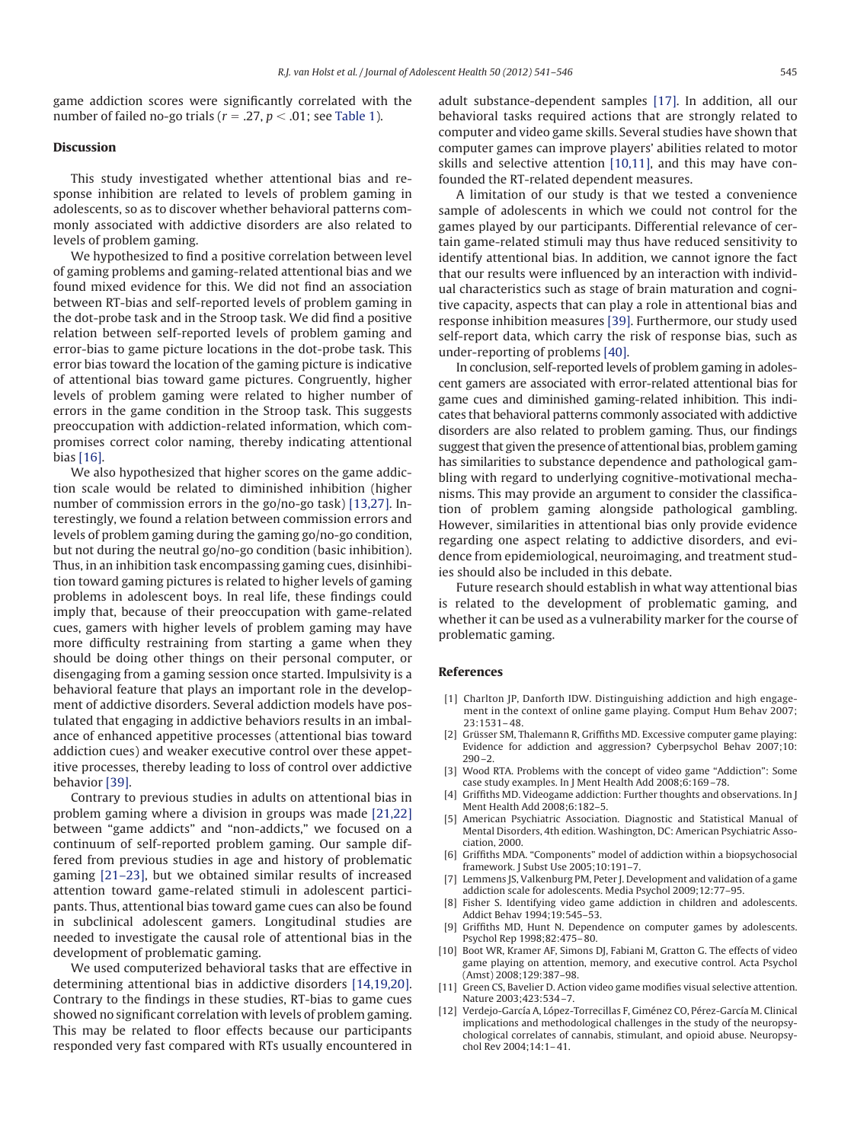game addiction scores were significantly correlated with the number of failed no-go trials ( $r = .27$ ,  $p < .01$ ; see [Table 1\)](#page-2-0).

# **Discussion**

This study investigated whether attentional bias and response inhibition are related to levels of problem gaming in adolescents, so as to discover whether behavioral patterns commonly associated with addictive disorders are also related to levels of problem gaming.

We hypothesized to find a positive correlation between level of gaming problems and gaming-related attentional bias and we found mixed evidence for this. We did not find an association between RT-bias and self-reported levels of problem gaming in the dot-probe task and in the Stroop task. We did find a positive relation between self-reported levels of problem gaming and error-bias to game picture locations in the dot-probe task. This error bias toward the location of the gaming picture is indicative of attentional bias toward game pictures. Congruently, higher levels of problem gaming were related to higher number of errors in the game condition in the Stroop task. This suggests preoccupation with addiction-related information, which compromises correct color naming, thereby indicating attentional bias [\[16\].](#page-5-2)

We also hypothesized that higher scores on the game addiction scale would be related to diminished inhibition (higher number of commission errors in the go/no-go task) [\[13,27\].](#page-5-10) Interestingly, we found a relation between commission errors and levels of problem gaming during the gaming go/no-go condition, but not during the neutral go/no-go condition (basic inhibition). Thus, in an inhibition task encompassing gaming cues, disinhibition toward gaming pictures is related to higher levels of gaming problems in adolescent boys. In real life, these findings could imply that, because of their preoccupation with game-related cues, gamers with higher levels of problem gaming may have more difficulty restraining from starting a game when they should be doing other things on their personal computer, or disengaging from a gaming session once started. Impulsivity is a behavioral feature that plays an important role in the development of addictive disorders. Several addiction models have postulated that engaging in addictive behaviors results in an imbalance of enhanced appetitive processes (attentional bias toward addiction cues) and weaker executive control over these appetitive processes, thereby leading to loss of control over addictive behavior [\[39\].](#page-5-18)

Contrary to previous studies in adults on attentional bias in problem gaming where a division in groups was made [\[21,22\]](#page-5-5) between "game addicts" and "non-addicts," we focused on a continuum of self-reported problem gaming. Our sample differed from previous studies in age and history of problematic gaming [\[21–23\],](#page-5-5) but we obtained similar results of increased attention toward game-related stimuli in adolescent participants. Thus, attentional bias toward game cues can also be found in subclinical adolescent gamers. Longitudinal studies are needed to investigate the causal role of attentional bias in the development of problematic gaming.

We used computerized behavioral tasks that are effective in determining attentional bias in addictive disorders [\[14,19,20\].](#page-5-0) Contrary to the findings in these studies, RT-bias to game cues showed no significant correlation with levels of problem gaming. This may be related to floor effects because our participants responded very fast compared with RTs usually encountered in

adult substance-dependent samples [\[17\].](#page-5-3) In addition, all our behavioral tasks required actions that are strongly related to computer and video game skills. Several studies have shown that computer games can improve players' abilities related to motor skills and selective attention [\[10,11\],](#page-4-4) and this may have confounded the RT-related dependent measures.

A limitation of our study is that we tested a convenience sample of adolescents in which we could not control for the games played by our participants. Differential relevance of certain game-related stimuli may thus have reduced sensitivity to identify attentional bias. In addition, we cannot ignore the fact that our results were influenced by an interaction with individual characteristics such as stage of brain maturation and cognitive capacity, aspects that can play a role in attentional bias and response inhibition measures [\[39\].](#page-5-18) Furthermore, our study used self-report data, which carry the risk of response bias, such as under-reporting of problems [\[40\].](#page-5-19)

In conclusion, self-reported levels of problem gaming in adolescent gamers are associated with error-related attentional bias for game cues and diminished gaming-related inhibition. This indicates that behavioral patterns commonly associated with addictive disorders are also related to problem gaming. Thus, our findings suggest that given the presence of attentional bias, problem gaming has similarities to substance dependence and pathological gambling with regard to underlying cognitive-motivational mechanisms. This may provide an argument to consider the classification of problem gaming alongside pathological gambling. However, similarities in attentional bias only provide evidence regarding one aspect relating to addictive disorders, and evidence from epidemiological, neuroimaging, and treatment studies should also be included in this debate.

Future research should establish in what way attentional bias is related to the development of problematic gaming, and whether it can be used as a vulnerability marker for the course of problematic gaming.

#### <span id="page-4-0"></span>**References**

- [1] Charlton JP, Danforth IDW. Distinguishing addiction and high engagement in the context of online game playing. Comput Hum Behav 2007; 23:1531– 48.
- [2] Grüsser SM, Thalemann R, Griffiths MD. Excessive computer game playing: Evidence for addiction and aggression? Cyberpsychol Behav 2007;10:  $290 - 2.$
- <span id="page-4-1"></span>[3] Wood RTA. Problems with the concept of video game "Addiction": Some case study examples. In J Ment Health Add 2008;6:169 –78.
- <span id="page-4-2"></span>[4] Griffiths MD. Videogame addiction: Further thoughts and observations. In J Ment Health Add 2008;6:182–5.
- <span id="page-4-3"></span>[5] American Psychiatric Association. Diagnostic and Statistical Manual of Mental Disorders, 4th edition. Washington, DC: American Psychiatric Association, 2000.
- <span id="page-4-6"></span>[6] Griffiths MDA. "Components" model of addiction within a biopsychosocial framework. J Subst Use 2005;10:191–7.
- [7] Lemmens JS, Valkenburg PM, Peter J. Development and validation of a game addiction scale for adolescents. Media Psychol 2009;12:77–95.
- <span id="page-4-7"></span>[8] Fisher S. Identifying video game addiction in children and adolescents. Addict Behav 1994;19:545–53.
- <span id="page-4-4"></span>[9] Griffiths MD, Hunt N. Dependence on computer games by adolescents. Psychol Rep 1998;82:475– 80.
- [10] Boot WR, Kramer AF, Simons DJ, Fabiani M, Gratton G. The effects of video game playing on attention, memory, and executive control. Acta Psychol (Amst) 2008;129:387–98.
- <span id="page-4-5"></span>[11] Green CS, Bavelier D. Action video game modifies visual selective attention. Nature 2003;423:534 –7.
- [12] Verdejo-García A, López-Torrecillas F, Giménez CO, Pérez-García M. Clinical implications and methodological challenges in the study of the neuropsychological correlates of cannabis, stimulant, and opioid abuse. Neuropsychol Rev 2004;14:1– 41.